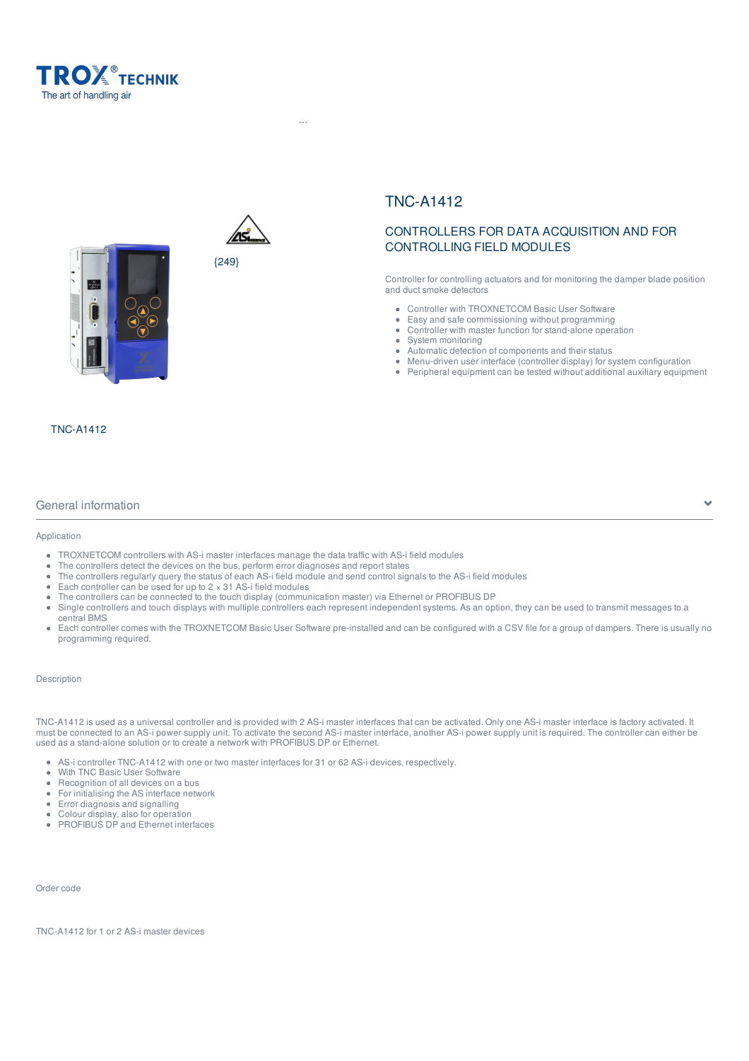





 $H^{\rm eff}$   $=$   $F^{\rm eff}$  and  $S^{\rm eff}$  ...  $T^{\rm eff}$  , the and  $T^{\rm eff}$  - controllers and  $T^{\rm eff}$  -  $C^{\rm eff}$ 

# CONTROLLERS FOR DATA ACQUISITION AND FOR CONTROLLING FIELD MODULES

Controller for controlling actuators and for monitoring the damper blade position and duct smoke detectors

- Controller with TROXNETCOM Basic User Software
- Easy and safe commissioning without programming
- Controller with master function for stand-alone operation
- System monitoring  $\bullet$
- Automatic detection of components and their status
- Menu-driven user interface (controller display) for system configuration
- Peripheral equipment can be tested without additional auxiliary equipment

TNC-A1412

## General information

#### Application

- TROXNETCOM controllers with AS-i master interfaces manage the data traffic with AS-i field modules
- The controllers detect the devices on the bus, perform error diagnoses and report states
- The controllers regularly query the status of each AS-i field module and send control signals to the AS-i field modules
- Each controller can be used for up to  $2 \times 31$  AS-i field modules
- The controllers can be connected to the touch display (communication master) via Ethernet or PROFIBUS DP
- Single controllers and touch displays with multiple controllers each represent independent systems. As an option, they can be used to transmit messages to a central BMS
- Each controller comes with the TROXNETCOM Basic User Software pre-installed and can be configured with a CSV file for a group of dampers. There is usually no programming required.

## Description

TNC-A1412 is used as a universal controller and is provided with 2 AS-i master interfaces that can be activated. Only one AS-i master interface is factory activated. It must be connected to an AS-i power supply unit. To activate the second AS-i master interface, another AS-i power supply unit is required. The controller can either be used as a stand-alone solution or to create a network with PROFIBUS DP or Ethernet.

- AS-i controller TNC-A1412 with one or two master interfaces for 31 or 62 AS-i devices, respectively.
- With TNC Basic User Software
- Recognition of all devices on a bus
- For initialising the AS interface network
- Error diagnosis and signalling
- Colour display, also for operation
- PROFIBUS DP and Ethernet interfaces

Order code

TNC-A1412 for 1 or 2 AS-i master devices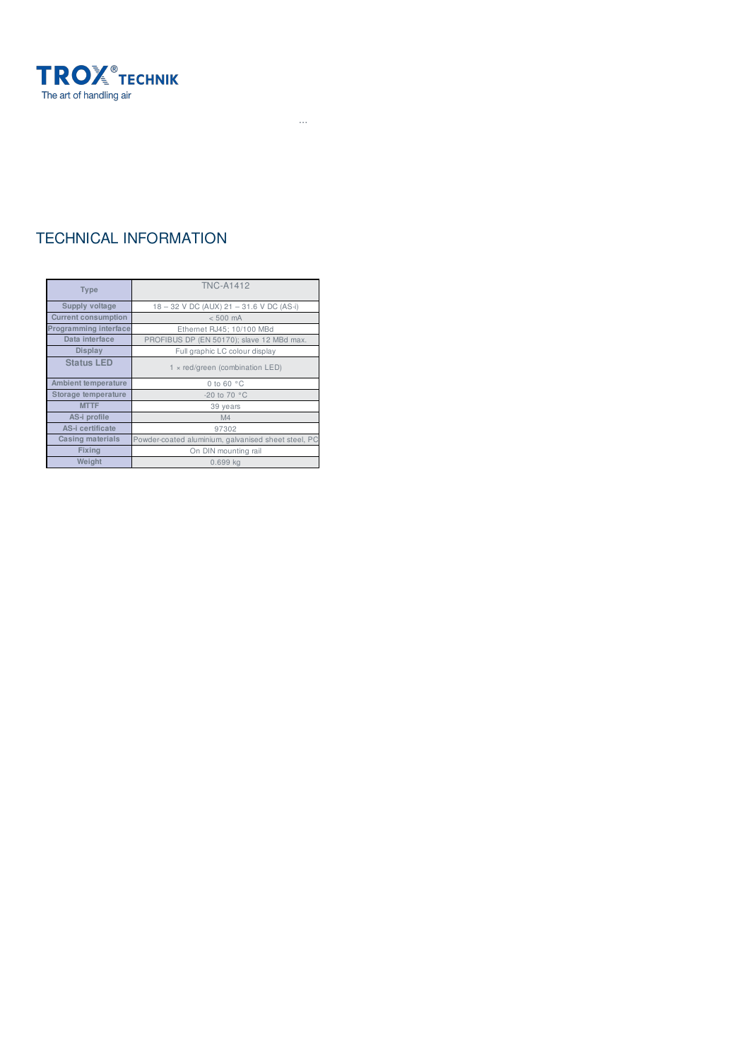

# TECHNICAL INFORMATION

| <b>Type</b>                | <b>TNC-A1412</b>                                    |
|----------------------------|-----------------------------------------------------|
| Supply voltage             | 18 - 32 V DC (AUX) 21 - 31.6 V DC (AS-i)            |
| <b>Current consumption</b> | $< 500$ mA                                          |
| Programming interface      | Ethernet RJ45; 10/100 MBd                           |
| Data interface             | PROFIBUS DP (EN 50170); slave 12 MBd max.           |
| Display                    | Full graphic LC colour display                      |
| <b>Status LED</b>          | $1 \times$ red/green (combination LED)              |
| <b>Ambient temperature</b> | 0 to 60 $\degree$ C                                 |
| Storage temperature        | -20 to 70 $°C$                                      |
| <b>MTTF</b>                | 39 years                                            |
| AS-i profile               | M4                                                  |
| AS-i certificate           | 97302                                               |
| Casing materials           | Powder-coated aluminium, galvanised sheet steel, PC |
| <b>Fixing</b>              | On DIN mounting rail                                |
| Weight                     | $0.699$ kg                                          |

 $H^{\rm eff}$   $=$   $F^{\rm eff}$  and  $S^{\rm eff}$  ...  $T^{\rm eff}$  , the and  $T^{\rm eff}$  - controllers and  $T^{\rm eff}$  -  $C^{\rm eff}$